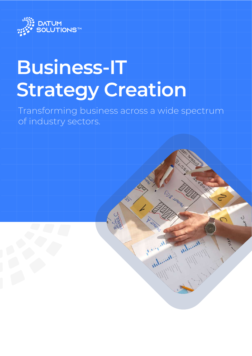

# **Business-IT Strategy Creation**

Transforming business across a wide spectrum of industry sectors.

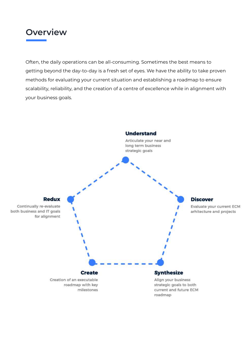### **Overview**

Often, the daily operations can be all-consuming. Sometimes the best means to getting beyond the day-to-day is a fresh set of eyes. We have the ability to take proven methods for evaluating your current situation and establishing a roadmap to ensure scalability, reliability, and the creation of a centre of excellence while in alignment with your business goals.

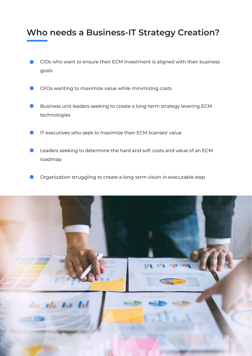### **Who needs a Business-IT Strategy Creation?**

- CIOs who want to ensure their ECM Investment is aligned with their business goals
- CFOs wanting to maximize value while minimizing costs
- Business unit leaders seeking to create a long-term strategy levering ECM technologies
- IT executives who seek to maximize their ECM licenses' value
- Leaders seeking to determine the hard and soft costs and value of an ECM roadmap
- Organization struggling to create a long-term vision in executable step

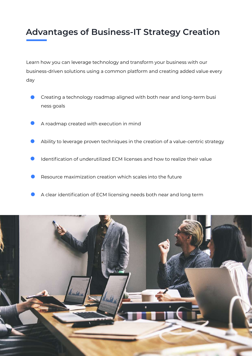### **Advantages of Business-IT Strategy Creation**

Learn how you can leverage technology and transform your business with our business-driven solutions using a common platform and creating added value every day

- Creating a technology roadmap aligned with both near and long-term busi ness goals
- A roadmap created with execution in mind
- Ability to leverage proven techniques in the creation of a value-centric strategy
- Identification of underutilized ECM licenses and how to realize their value
- Resource maximization creation which scales into the future
- A clear identification of ECM licensing needs both near and long term

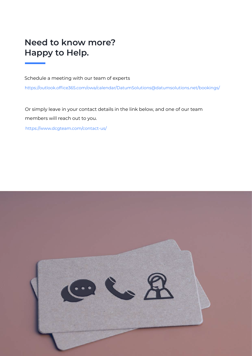### **Need to know more? Happy to Help.**

Schedule a meeting with our team of experts

https://outlook.office365.com/owa/calendar/DatumSolutions@datumsolutions.net/bookings/

Or simply leave in your contact details in the link below, and one of our team members will reach out to you.

https://www.dcgteam.com/contact-us/

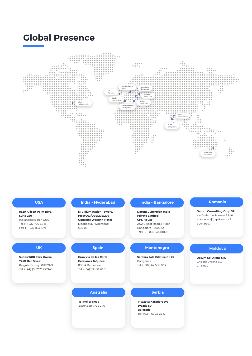### **Global Presence**



#### **Spain USA 8520 Allison Point Blvd, Suite 220** Indianapolis, IN 46250 Tel: (+1) 317 790 6818 Fax: (+1) 317 863 1071 **India - Bangalore Datum Cybertech India Private Limited CPS House** 23/2 Ulsoor Road, I Floor Bangalore - 560042 Tel: (+91) 080 40981801 **India - Hyderabad KTC Illumination Towers, Plot#203/204/205/206 Opposite WestInn Hotel** Madhapur, Hyderabad - 500 081 **UK**

#### **Gran Via de les Corts Catalanes 145, local** 08014 Barcelona Tel: (+34) 93 180 70 31

**Suites 9&10 Park House 77-81 Bell Street** Reigate, Surrey, RH2 7AN Tel: (+44) (0) 1737 233946

#### **Australia**

**161 Keilor Road** Essendon VIC 3040

### **Montenegro**

**Serdara Jola Piletića Br. 22** Podgorica Tel: (+382) 67 508 033

#### **Serbia**

**Vitezova Karađorđeve zvezde 50 Belgrade** Tel: (+381) 69 35 25 171

#### **Romania**

**Datum Consulting Grup SRL** sos. Stefan cel Mare nr.5, bl.6, scara A, etaj 1, ap.4, sector 2 Bucharest

### **Moldova**

**Datum Solutions SRL** Grigore Ureche 69, Chisinau